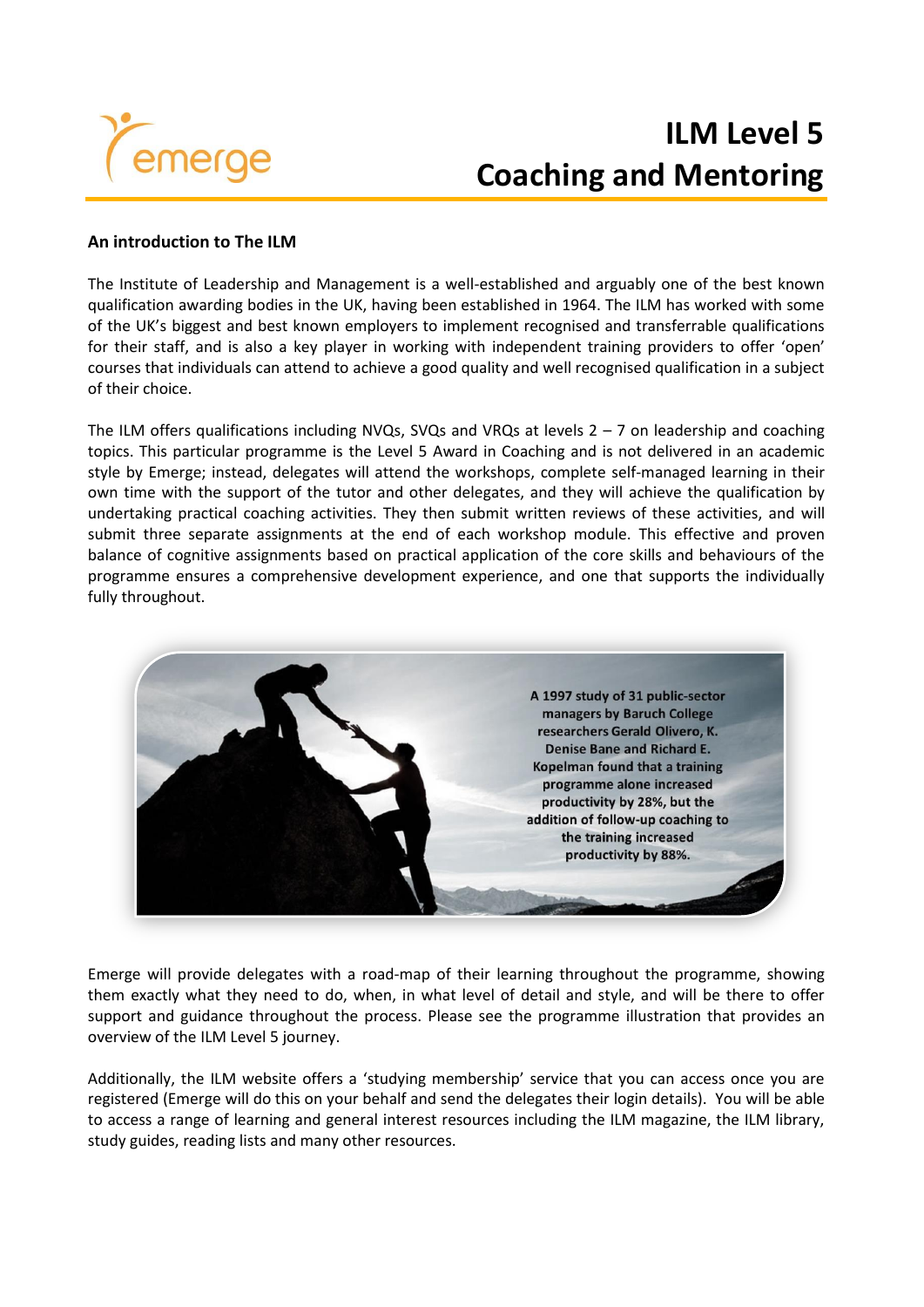

# **ILM Level 5 Coaching and Mentoring**

### **An introduction to The ILM**

The Institute of Leadership and Management is a well-established and arguably one of the best known qualification awarding bodies in the UK, having been established in 1964. The ILM has worked with some of the UK's biggest and best known employers to implement recognised and transferrable qualifications for their staff, and is also a key player in working with independent training providers to offer 'open' courses that individuals can attend to achieve a good quality and well recognised qualification in a subject of their choice.

The ILM offers qualifications including NVQs, SVQs and VRQs at levels  $2 - 7$  on leadership and coaching topics. This particular programme is the Level 5 Award in Coaching and is not delivered in an academic style by Emerge; instead, delegates will attend the workshops, complete self-managed learning in their own time with the support of the tutor and other delegates, and they will achieve the qualification by undertaking practical coaching activities. They then submit written reviews of these activities, and will submit three separate assignments at the end of each workshop module. This effective and proven balance of cognitive assignments based on practical application of the core skills and behaviours of the programme ensures a comprehensive development experience, and one that supports the individually fully throughout.



Emerge will provide delegates with a road-map of their learning throughout the programme, showing them exactly what they need to do, when, in what level of detail and style, and will be there to offer support and guidance throughout the process. Please see the programme illustration that provides an overview of the ILM Level 5 journey.

Additionally, the ILM website offers a 'studying membership' service that you can access once you are registered (Emerge will do this on your behalf and send the delegates their login details). You will be able to access a range of learning and general interest resources including the ILM magazine, the ILM library, study guides, reading lists and many other resources.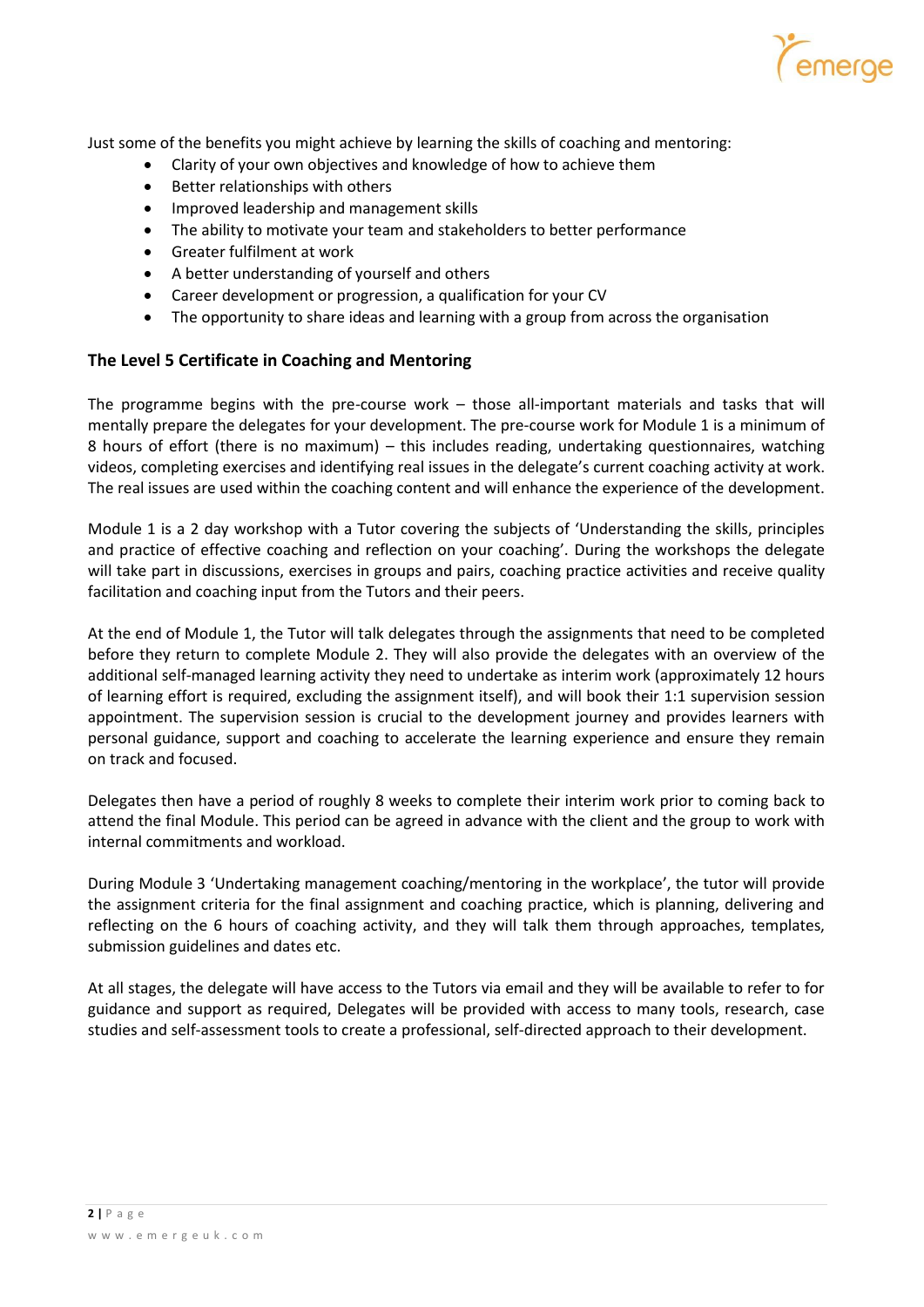

Just some of the benefits you might achieve by learning the skills of coaching and mentoring:

- Clarity of your own objectives and knowledge of how to achieve them
- Better relationships with others
- Improved leadership and management skills
- The ability to motivate your team and stakeholders to better performance
- Greater fulfilment at work
- A better understanding of yourself and others
- Career development or progression, a qualification for your CV
- The opportunity to share ideas and learning with a group from across the organisation

#### **The Level 5 Certificate in Coaching and Mentoring**

The programme begins with the pre-course work – those all-important materials and tasks that will mentally prepare the delegates for your development. The pre-course work for Module 1 is a minimum of 8 hours of effort (there is no maximum) – this includes reading, undertaking questionnaires, watching videos, completing exercises and identifying real issues in the delegate's current coaching activity at work. The real issues are used within the coaching content and will enhance the experience of the development.

Module 1 is a 2 day workshop with a Tutor covering the subjects of 'Understanding the skills, principles and practice of effective coaching and reflection on your coaching'. During the workshops the delegate will take part in discussions, exercises in groups and pairs, coaching practice activities and receive quality facilitation and coaching input from the Tutors and their peers.

At the end of Module 1, the Tutor will talk delegates through the assignments that need to be completed before they return to complete Module 2. They will also provide the delegates with an overview of the additional self-managed learning activity they need to undertake as interim work (approximately 12 hours of learning effort is required, excluding the assignment itself), and will book their 1:1 supervision session appointment. The supervision session is crucial to the development journey and provides learners with personal guidance, support and coaching to accelerate the learning experience and ensure they remain on track and focused.

Delegates then have a period of roughly 8 weeks to complete their interim work prior to coming back to attend the final Module. This period can be agreed in advance with the client and the group to work with internal commitments and workload.

During Module 3 'Undertaking management coaching/mentoring in the workplace', the tutor will provide the assignment criteria for the final assignment and coaching practice, which is planning, delivering and reflecting on the 6 hours of coaching activity, and they will talk them through approaches, templates, submission guidelines and dates etc.

At all stages, the delegate will have access to the Tutors via email and they will be available to refer to for guidance and support as required, Delegates will be provided with access to many tools, research, case studies and self-assessment tools to create a professional, self-directed approach to their development.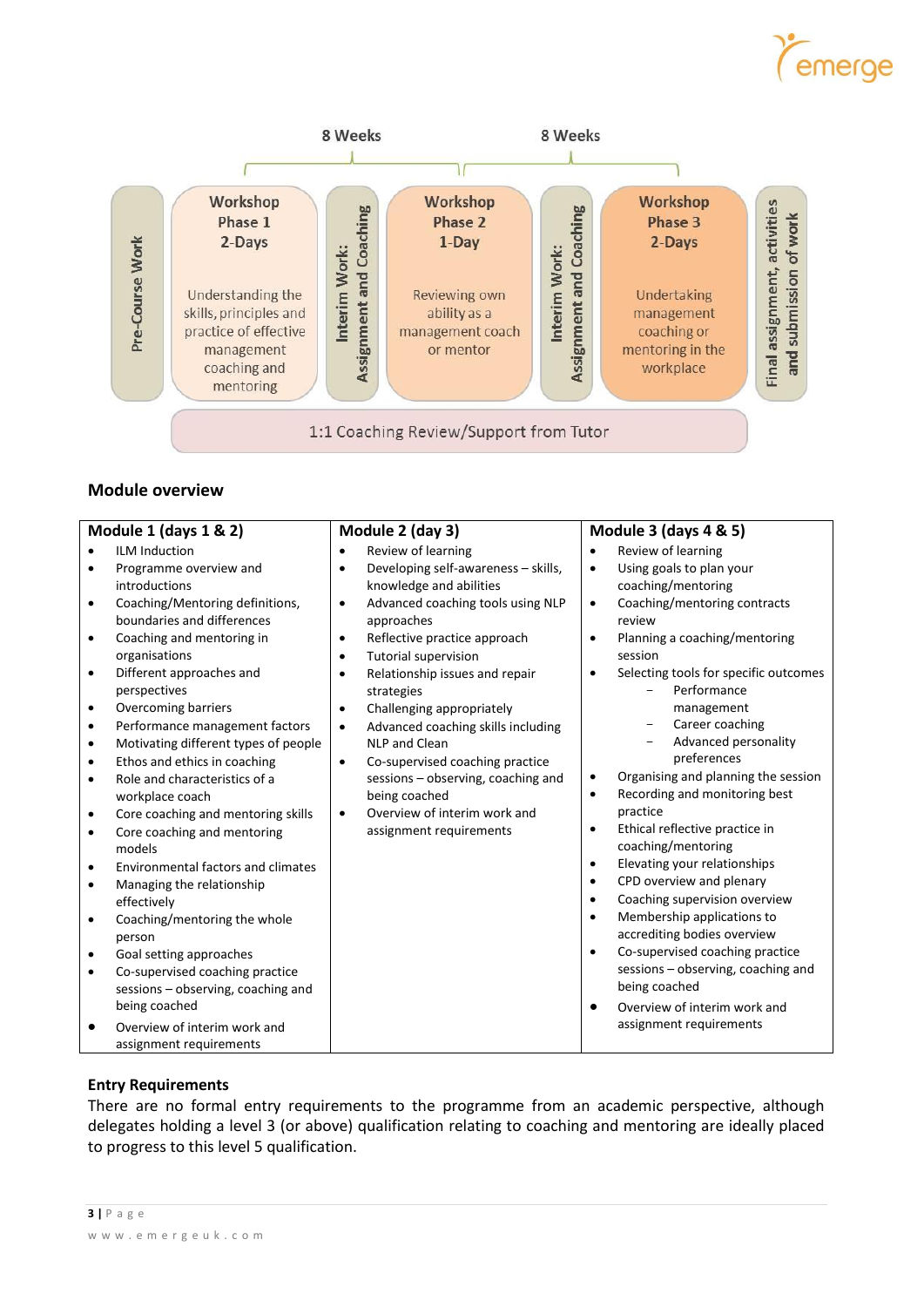# emerge



## **Module overview**

| Module 1 (days 1 & 2)                                                                                                                                                                                                                                                                                                                                                                                                                                                                                                                                                                                                                                                                                                                                                                                                                       | Module 2 (day 3)                                                                                                                                                                                                                                                                                                                                                                                                                                                                                                                                                                                                     | <b>Module 3 (days 4 &amp; 5)</b>                                                                                                                                                                                                                                                                                                                                                                                                                                                                                                                                                                                                                                                                                                                                                                                                                                                                       |
|---------------------------------------------------------------------------------------------------------------------------------------------------------------------------------------------------------------------------------------------------------------------------------------------------------------------------------------------------------------------------------------------------------------------------------------------------------------------------------------------------------------------------------------------------------------------------------------------------------------------------------------------------------------------------------------------------------------------------------------------------------------------------------------------------------------------------------------------|----------------------------------------------------------------------------------------------------------------------------------------------------------------------------------------------------------------------------------------------------------------------------------------------------------------------------------------------------------------------------------------------------------------------------------------------------------------------------------------------------------------------------------------------------------------------------------------------------------------------|--------------------------------------------------------------------------------------------------------------------------------------------------------------------------------------------------------------------------------------------------------------------------------------------------------------------------------------------------------------------------------------------------------------------------------------------------------------------------------------------------------------------------------------------------------------------------------------------------------------------------------------------------------------------------------------------------------------------------------------------------------------------------------------------------------------------------------------------------------------------------------------------------------|
| <b>ILM Induction</b><br>Programme overview and<br>introductions<br>Coaching/Mentoring definitions,<br>boundaries and differences<br>Coaching and mentoring in<br>organisations<br>Different approaches and<br>perspectives<br>Overcoming barriers<br>Performance management factors<br>$\bullet$<br>Motivating different types of people<br>$\bullet$<br>Ethos and ethics in coaching<br>Role and characteristics of a<br>workplace coach<br>Core coaching and mentoring skills<br>Core coaching and mentoring<br>models<br><b>Environmental factors and climates</b><br>Managing the relationship<br>effectively<br>Coaching/mentoring the whole<br>person<br>Goal setting approaches<br>Co-supervised coaching practice<br>sessions - observing, coaching and<br>being coached<br>Overview of interim work and<br>assignment requirements | Review of learning<br>Developing self-awareness - skills,<br>$\bullet$<br>knowledge and abilities<br>Advanced coaching tools using NLP<br>$\bullet$<br>approaches<br>Reflective practice approach<br>$\bullet$<br><b>Tutorial supervision</b><br>$\bullet$<br>Relationship issues and repair<br>$\bullet$<br>strategies<br>Challenging appropriately<br>$\bullet$<br>Advanced coaching skills including<br>$\bullet$<br>NLP and Clean<br>Co-supervised coaching practice<br>$\bullet$<br>sessions - observing, coaching and<br>being coached<br>Overview of interim work and<br>$\bullet$<br>assignment requirements | Review of learning<br>$\bullet$<br>Using goals to plan your<br>$\bullet$<br>coaching/mentoring<br>Coaching/mentoring contracts<br>$\bullet$<br>review<br>Planning a coaching/mentoring<br>$\bullet$<br>session<br>Selecting tools for specific outcomes<br>$\bullet$<br>Performance<br>management<br>Career coaching<br>Advanced personality<br>preferences<br>Organising and planning the session<br>٠<br>Recording and monitoring best<br>$\bullet$<br>practice<br>Ethical reflective practice in<br>٠<br>coaching/mentoring<br>Elevating your relationships<br>$\bullet$<br>CPD overview and plenary<br>٠<br>Coaching supervision overview<br>$\bullet$<br>Membership applications to<br>$\bullet$<br>accrediting bodies overview<br>Co-supervised coaching practice<br>$\bullet$<br>sessions - observing, coaching and<br>being coached<br>Overview of interim work and<br>assignment requirements |

#### **Entry Requirements**

There are no formal entry requirements to the programme from an academic perspective, although delegates holding a level 3 (or above) qualification relating to coaching and mentoring are ideally placed to progress to this level 5 qualification.